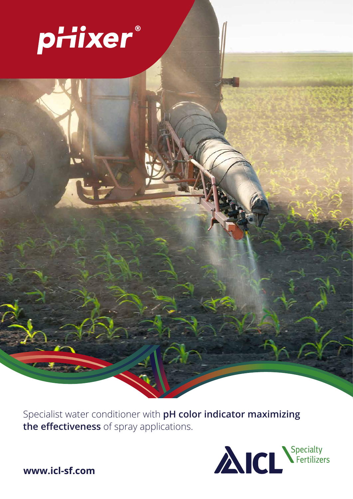

Specialist water conditioner with **pH color indicator maximizing the effectiveness** of spray applications.



**www.icl-sf.com**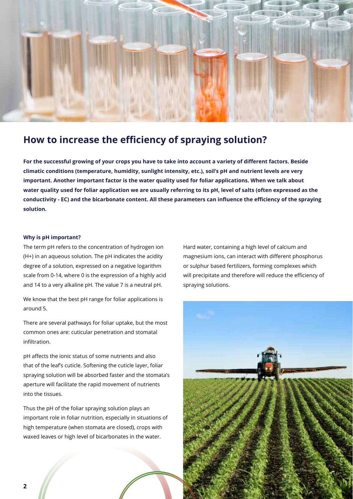

# **How to increase the efficiency of spraying solution?**

**For the successful growing of your crops you have to take into account a variety of different factors. Beside climatic conditions (temperature, humidity, sunlight intensity, etc.), soil's pH and nutrient levels are very important. Another important factor is the water quality used for foliar applications. When we talk about water quality used for foliar application we are usually referring to its pH, level of salts (often expressed as the conductivity - EC) and the bicarbonate content. All these parameters can influence the efficiency of the spraying solution.**

# **Why is pH important?**

The term pH refers to the concentration of hydrogen ion (H+) in an aqueous solution. The pH indicates the acidity degree of a solution, expressed on a negative logarithm scale from 0-14, where 0 is the expression of a highly acid and 14 to a very alkaline pH. The value 7 is a neutral pH.

We know that the best pH range for foliar applications is around 5.

There are several pathways for foliar uptake, but the most common ones are: cuticular penetration and stomatal infiltration.

pH affects the ionic status of some nutrients and also that of the leaf's cuticle. Softening the cuticle layer, foliar spraying solution will be absorbed faster and the stomata's aperture will facilitate the rapid movement of nutrients into the tissues.

Thus the pH of the foliar spraying solution plays an important role in foliar nutrition, especially in situations of high temperature (when stomata are closed), crops with waxed leaves or high level of bicarbonates in the water.

Hard water, containing a high level of calcium and magnesium ions, can interact with different phosphorus or sulphur based fertilizers, forming complexes which will precipitate and therefore will reduce the efficiency of spraying solutions.

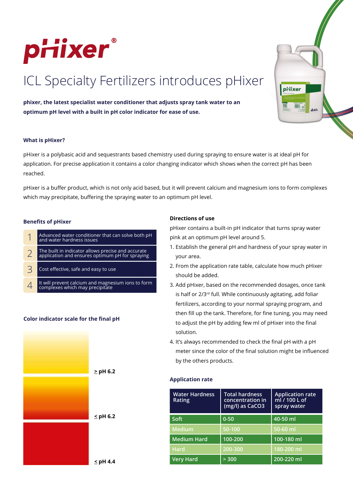

# ICL Specialty Fertilizers introduces pHixer

**phixer, the latest specialist water conditioner that adjusts spray tank water to an optimum pH level with a built in pH color indicator for ease of use.**



### **What is pHixer?**

pHixer is a polybasic acid and sequestrants based chemistry used during spraying to ensure water is at ideal pH for application. For precise application it contains a color changing indicator which shows when the correct pH has been reached.

pHixer is a buffer product, which is not only acid based, but it will prevent calcium and magnesium ions to form complexes which may precipitate, buffering the spraying water to an optimum pH level.

#### **Benefits of pHixer**

- 1 Advanced water conditioner that can solve both pH and water hardness issues
- 2 The built in indicator allows precise and accurate application and ensures optimum pH for spraying
- $\overline{3}$  Cost effective, safe and easy to use
- 4 It will prevent calcium and magnesium ions to form complexes which may precipitate

# **Color indicator scale for the final pH**



# **Directions of use**

pHixer contains a built-in pH indicator that turns spray water pink at an optimum pH level around 5.

- 1. Establish the general pH and hardness of your spray water in your area.
- 2. From the application rate table, calculate how much pHixer should be added.
- 3. Add pHixer, based on the recommended dosages, once tank is half or 2/3<sup>rd</sup> full. While continuously agitating, add foliar fertilizers, according to your normal spraying program, and then fill up the tank. Therefore, for fine tuning, you may need to adjust the pH by adding few ml of pHixer into the final solution.
- 4. It's always recommended to check the final pH with a pH meter since the color of the final solution might be influenced by the others products.

# **Application rate**

| <b>Water Hardness</b><br>Rating | <b>Total hardness</b><br>concentration in<br>(mg/l) as CaCO3 | <b>Application rate</b><br>ml / 100 L of<br>spray water |
|---------------------------------|--------------------------------------------------------------|---------------------------------------------------------|
| Soft                            | $0 - 50$                                                     | 40-50 ml                                                |
| <b>Medium</b>                   | 50-100                                                       | 50-60 ml                                                |
| <b>Medium Hard</b>              | 100-200                                                      | $100 - 180$ ml                                          |
| <b>Hard</b>                     | $200 - 300$                                                  | 180-200 ml                                              |
| <b>Very Hard</b>                | > 300                                                        | 200-220 ml                                              |